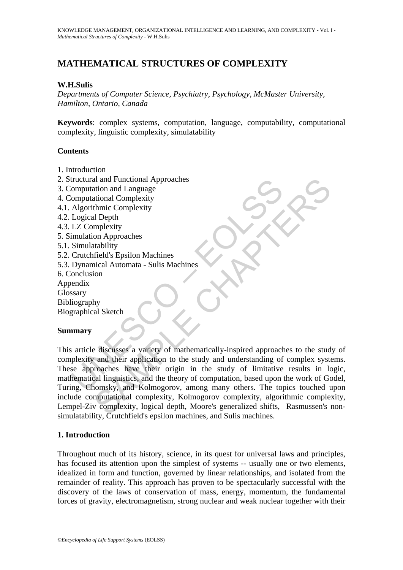# **MATHEMATICAL STRUCTURES OF COMPLEXITY**

## **W.H.Sulis**

*Departments of Computer Science, Psychiatry, Psychology, McMaster University, Hamilton, Ontario, Canada* 

**Keywords**: complex systems, computation, language, computability, computational complexity, linguistic complexity, simulatability

#### **Contents**

- 1. Introduction
- 2. Structural and Functional Approaches
- 3. Computation and Language
- 4. Computational Complexity
- 4.1. Algorithmic Complexity
- 4.2. Logical Depth
- 4.3. LZ Complexity
- 5. Simulation Approaches
- 5.1. Simulatability
- 5.2. Crutchfield's Epsilon Machines
- 5.3. Dynamical Automata Sulis Machines
- 6. Conclusion
- Appendix
- Glossary
- Bibliography
- Biographical Sketch

## **Summary**

tructural and Functional Approaches<br>
Computational Complexity<br>
Computational Complexity<br>
Algorithmic Complexity<br>
Logical Depth<br>
LZ Complexity<br>
Imulation Approaches<br>
Simulation Approaches<br>
Simulation Approaches<br>
Simulation and Tanguage<br>
and Language<br>
ational Complexity<br>
thmic Complexity<br>
melicity<br>
on Approaches<br>
and Automata - Sulis Machines<br>
included Sepsion Machines<br>
included Sepsion Machines<br>
included Sepsion Machines<br>
by<br>
py<br>
al Sketch<br> This article discusses a variety of mathematically-inspired approaches to the study of complexity and their application to the study and understanding of complex systems. These approaches have their origin in the study of limitative results in logic, mathematical linguistics, and the theory of computation, based upon the work of Godel, Turing, Chomsky, and Kolmogorov, among many others. The topics touched upon include computational complexity, Kolmogorov complexity, algorithmic complexity, Lempel-Ziv complexity, logical depth, Moore's generalized shifts, Rasmussen's nonsimulatability, Crutchfield's epsilon machines, and Sulis machines.

## **1. Introduction**

Throughout much of its history, science, in its quest for universal laws and principles, has focused its attention upon the simplest of systems -- usually one or two elements, idealized in form and function, governed by linear relationships, and isolated from the remainder of reality. This approach has proven to be spectacularly successful with the discovery of the laws of conservation of mass, energy, momentum, the fundamental forces of gravity, electromagnetism, strong nuclear and weak nuclear together with their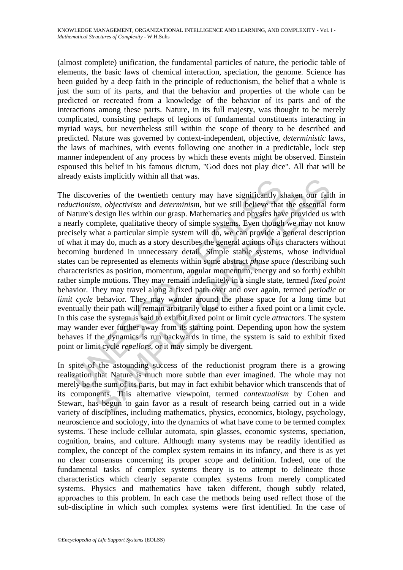(almost complete) unification, the fundamental particles of nature, the periodic table of elements, the basic laws of chemical interaction, speciation, the genome. Science has been guided by a deep faith in the principle of reductionism, the belief that a whole is just the sum of its parts, and that the behavior and properties of the whole can be predicted or recreated from a knowledge of the behavior of its parts and of the interactions among these parts. Nature, in its full majesty, was thought to be merely complicated, consisting perhaps of legions of fundamental constituents interacting in myriad ways, but nevertheless still within the scope of theory to be described and predicted. Nature was governed by context-independent, objective, *deterministic* laws, the laws of machines, with events following one another in a predictable, lock step manner independent of any process by which these events might be observed. Einstein espoused this belief in his famous dictum, ''God does not play dice''. All that will be already exists implicitly within all that was.

discoveries of the twentieth century may have significantly si<br>discoveries of the twentieth century may have significantly si<br>diature's design lies within our grasp. Mathematics and physics have<br>are absorbed as a strong o sts implicitly whith an that was.<br>
veries of the twentieth century may have significantly shaken our fait<br>
m, *objectivism* and *determinism*, but we still believe that the essential<br>
design lies within our grasp. Mathemat The discoveries of the twentieth century may have significantly shaken our faith in *reductionism, objectivism* and *determinism*, but we still believe that the essential form of Nature's design lies within our grasp. Mathematics and physics have provided us with a nearly complete, qualitative theory of simple systems. Even though we may not know precisely what a particular simple system will do, we can provide a general description of what it may do, much as a story describes the general actions of its characters without becoming burdened in unnecessary detail. Simple stable systems, whose individual states can be represented as elements within some abstract *phase space (*describing such characteristics as position, momentum, angular momentum, energy and so forth) exhibit rather simple motions. They may remain indefinitely in a single state, termed *fixed point* behavior. They may travel along a fixed path over and over again, termed *periodic* or *limit cycle* behavior. They may wander around the phase space for a long time but eventually their path will remain arbitrarily close to either a fixed point or a limit cycle. In this case the system is said to exhibit fixed point or limit cycle *attractors*. The system may wander ever further away from its starting point. Depending upon how the system behaves if the dynamics is run backwards in time, the system is said to exhibit fixed point or limit cycle *repellors*, or it may simply be divergent.

In spite of the astounding success of the reductionist program there is a growing realization that Nature is much more subtle than ever imagined. The whole may not merely be the sum of its parts, but may in fact exhibit behavior which transcends that of its components. This alternative viewpoint, termed *contextualism* by Cohen and Stewart, has begun to gain favor as a result of research being carried out in a wide variety of disciplines, including mathematics, physics, economics, biology, psychology, neuroscience and sociology, into the dynamics of what have come to be termed complex systems. These include cellular automata, spin glasses, economic systems, speciation, cognition, brains, and culture. Although many systems may be readily identified as complex, the concept of the complex system remains in its infancy, and there is as yet no clear consensus concerning its proper scope and definition. Indeed, one of the fundamental tasks of complex systems theory is to attempt to delineate those characteristics which clearly separate complex systems from merely complicated systems. Physics and mathematics have taken different, though subtly related, approaches to this problem. In each case the methods being used reflect those of the sub-discipline in which such complex systems were first identified. In the case of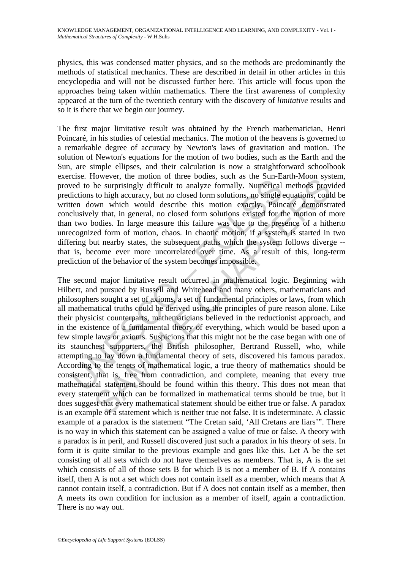physics, this was condensed matter physics, and so the methods are predominantly the methods of statistical mechanics. These are described in detail in other articles in this encyclopedia and will not be discussed further here. This article will focus upon the approaches being taken within mathematics. There the first awareness of complexity appeared at the turn of the twentieth century with the discovery of *limitative* results and so it is there that we begin our journey.

The first major limitative result was obtained by the French mathematician, Henri Poincaré, in his studies of celestial mechanics. The motion of the heavens is governed to a remarkable degree of accuracy by Newton's laws of gravitation and motion. The solution of Newton's equations for the motion of two bodies, such as the Earth and the Sun, are simple ellipses, and their calculation is now a straightforward schoolbook exercise. However, the motion of three bodies, such as the Sun-Earth-Moon system, proved to be surprisingly difficult to analyze formally. Numerical methods provided predictions to high accuracy, but no closed form solutions, no single equations, could be written down which would describe this motion exactly. Poincaré demonstrated conclusively that, in general, no closed form solutions existed for the motion of more than two bodies. In large measure this failure was due to the presence of a hitherto unrecognized form of motion, chaos. In chaotic motion, if a system is started in two differing but nearby states, the subsequent paths which the system follows diverge - that is, become ever more uncorrelated over time. As a result of this, long-term prediction of the behavior of the system becomes impossible.

exect. However, an emasted of the content, star is the seal and the sear is the search of the surprisingly difficult to analyze formally. Numerical lictions to high accuracy, but no closed form solutions, no single ten dow be surprisingly difficult to analyze formally. Numericannel since the surprisingly difficult to analyze formally. Numerican nethods provide to high accuracy, but no closed form solutions, no single equations, coulwon which The second major limitative result occurred in mathematical logic. Beginning with Hilbert, and pursued by Russell and Whitehead and many others, mathematicians and philosophers sought a set of axioms, a set of fundamental principles or laws, from which all mathematical truths could be derived using the principles of pure reason alone. Like their physicist counterparts, mathematicians believed in the reductionist approach, and in the existence of a fundamental theory of everything, which would be based upon a few simple laws or axioms. Suspicions that this might not be the case began with one of its staunchest supporters, the British philosopher, Bertrand Russell, who, while attempting to lay down a fundamental theory of sets, discovered his famous paradox. According to the tenets of mathematical logic, a true theory of mathematics should be consistent, that is, free from contradiction, and complete, meaning that every true mathematical statement should be found within this theory. This does not mean that every statement which can be formalized in mathematical terms should be true, but it does suggest that every mathematical statement should be either true or false. A paradox is an example of a statement which is neither true not false. It is indeterminate. A classic example of a paradox is the statement "The Cretan said, 'All Cretans are liars'". There is no way in which this statement can be assigned a value of true or false. A theory with a paradox is in peril, and Russell discovered just such a paradox in his theory of sets. In form it is quite similar to the previous example and goes like this. Let A be the set consisting of all sets which do not have themselves as members. That is, A is the set which consists of all of those sets B for which B is not a member of B. If A contains itself, then A is not a set which does not contain itself as a member, which means that A cannot contain itself, a contradiction. But if A does not contain itself as a member, then A meets its own condition for inclusion as a member of itself, again a contradiction. There is no way out.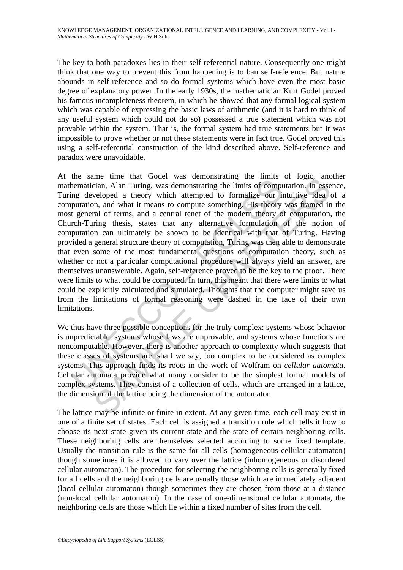The key to both paradoxes lies in their self-referential nature. Consequently one might think that one way to prevent this from happening is to ban self-reference. But nature abounds in self-reference and so do formal systems which have even the most basic degree of explanatory power. In the early 1930s, the mathematician Kurt Godel proved his famous incompleteness theorem, in which he showed that any formal logical system which was capable of expressing the basic laws of arithmetic (and it is hard to think of any useful system which could not do so) possessed a true statement which was not provable within the system. That is, the formal system had true statements but it was impossible to prove whether or not these statements were in fact true. Godel proved this using a self-referential construction of the kind described above. Self-reference and paradox were unavoidable.

Inter and a matter cocci-<br>
and a matter cocci-<br>
and a matter cocci-<br>
and a matter of compute something the limits of compute<br>
inputation, and what it means to compute something. His theory<br>
t general of terms, and a centra me the that older was centosizotaning the limits of roge and<br>iran, Alan Turing, was demonstrating the limits of computation. In esse<br>weloped a theory which attempted to formalize our intuitive idea on, and what it means to At the same time that Godel was demonstrating the limits of logic, another mathematician, Alan Turing, was demonstrating the limits of computation. In essence, Turing developed a theory which attempted to formalize our intuitive idea of a computation, and what it means to compute something. His theory was framed in the most general of terms, and a central tenet of the modern theory of computation, the Church-Turing thesis, states that any alternative formulation of the notion of computation can ultimately be shown to be identical with that of Turing. Having provided a general structure theory of computation, Turing was then able to demonstrate that even some of the most fundamental questions of computation theory, such as whether or not a particular computational procedure will always yield an answer, are themselves unanswerable. Again, self-reference proved to be the key to the proof. There were limits to what could be computed. In turn, this meant that there were limits to what could be explicitly calculated and simulated. Thoughts that the computer might save us from the limitations of formal reasoning were dashed in the face of their own limitations.

We thus have three possible conceptions for the truly complex: systems whose behavior is unpredictable, systems whose laws are unprovable, and systems whose functions are noncomputable. However, there is another approach to complexity which suggests that these classes of systems are, shall we say, too complex to be considered as complex systems. This approach finds its roots in the work of Wolfram on *cellular automata.*  Cellular automata provide what many consider to be the simplest formal models of complex systems. They consist of a collection of cells, which are arranged in a lattice, the dimension of the lattice being the dimension of the automaton.

The lattice may be infinite or finite in extent. At any given time, each cell may exist in one of a finite set of states. Each cell is assigned a transition rule which tells it how to choose its next state given its current state and the state of certain neighboring cells. These neighboring cells are themselves selected according to some fixed template. Usually the transition rule is the same for all cells (homogeneous cellular automaton) though sometimes it is allowed to vary over the lattice (inhomogeneous or disordered cellular automaton). The procedure for selecting the neighboring cells is generally fixed for all cells and the neighboring cells are usually those which are immediately adjacent (local cellular automaton) though sometimes they are chosen from those at a distance (non-local cellular automaton). In the case of one-dimensional cellular automata, the neighboring cells are those which lie within a fixed number of sites from the cell.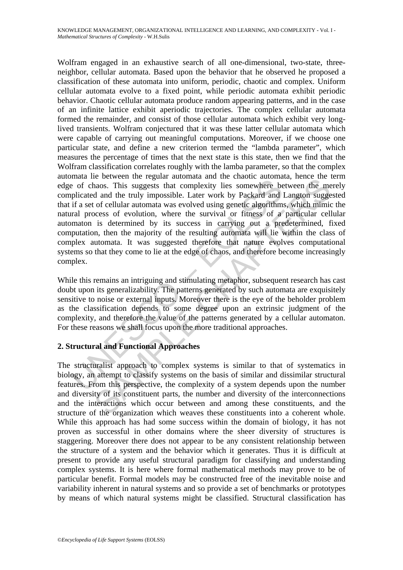mand no even the veganal valuement and a email of chaos. This suggests that complexity lies somewhere be plicated and the truly impossible. Later work by Packard and if a set of cellular automata was evolved using genetic is other in tegaal and man and the classic and the contential, there are the exerce in equals and the truly impossible. Later work by Packard and Langton suggest of collular automata was evolved using genetic algorithms, w Wolfram engaged in an exhaustive search of all one-dimensional, two-state, threeneighbor, cellular automata. Based upon the behavior that he observed he proposed a classification of these automata into uniform, periodic, chaotic and complex. Uniform cellular automata evolve to a fixed point, while periodic automata exhibit periodic behavior. Chaotic cellular automata produce random appearing patterns, and in the case of an infinite lattice exhibit aperiodic trajectories. The complex cellular automata formed the remainder, and consist of those cellular automata which exhibit very longlived transients. Wolfram conjectured that it was these latter cellular automata which were capable of carrying out meaningful computations. Moreover, if we choose one particular state, and define a new criterion termed the "lambda parameter", which measures the percentage of times that the next state is this state, then we find that the Wolfram classification correlates roughly with the lamba parameter, so that the complex automata lie between the regular automata and the chaotic automata, hence the term edge of chaos. This suggests that complexity lies somewhere between the merely complicated and the truly impossible. Later work by Packard and Langton suggested that if a set of cellular automata was evolved using genetic algorithms, which mimic the natural process of evolution, where the survival or fitness of a particular cellular automaton is determined by its success in carrying out a predetermined, fixed computation, then the majority of the resulting automata will lie within the class of complex automata. It was suggested therefore that nature evolves computational systems so that they come to lie at the edge of chaos, and therefore become increasingly complex.

While this remains an intriguing and stimulating metaphor, subsequent research has cast doubt upon its generalizability. The patterns generated by such automata are exquisitely sensitive to noise or external inputs. Moreover there is the eye of the beholder problem as the classification depends to some degree upon an extrinsic judgment of the complexity, and therefore the value of the patterns generated by a cellular automaton. For these reasons we shall focus upon the more traditional approaches.

## **2. Structural and Functional Approaches**

The structuralist approach to complex systems is similar to that of systematics in biology, an attempt to classify systems on the basis of similar and dissimilar structural features. From this perspective, the complexity of a system depends upon the number and diversity of its constituent parts, the number and diversity of the interconnections and the interactions which occur between and among these constituents, and the structure of the organization which weaves these constituents into a coherent whole. While this approach has had some success within the domain of biology, it has not proven as successful in other domains where the sheer diversity of structures is staggering. Moreover there does not appear to be any consistent relationship between the structure of a system and the behavior which it generates. Thus it is difficult at present to provide any useful structural paradigm for classifying and understanding complex systems. It is here where formal mathematical methods may prove to be of particular benefit. Formal models may be constructed free of the inevitable noise and variability inherent in natural systems and so provide a set of benchmarks or prototypes by means of which natural systems might be classified. Structural classification has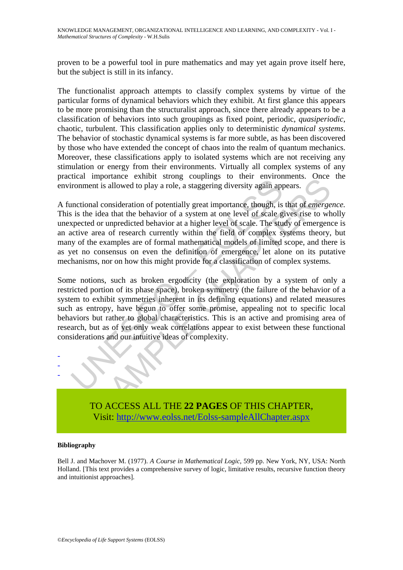proven to be a powerful tool in pure mathematics and may yet again prove itself here, but the subject is still in its infancy.

The functionalist approach attempts to classify complex systems by virtue of the particular forms of dynamical behaviors which they exhibit. At first glance this appears to be more promising than the structuralist approach, since there already appears to be a classification of behaviors into such groupings as fixed point, periodic, *quasiperiodic*, chaotic, turbulent. This classification applies only to deterministic *dynamical systems*. The behavior of stochastic dynamical systems is far more subtle, as has been discovered by those who have extended the concept of chaos into the realm of quantum mechanics. Moreover, these classifications apply to isolated systems which are not receiving any stimulation or energy from their environments. Virtually all complex systems of any practical importance exhibit strong couplings to their environments. Once the environment is allowed to play a role, a staggering diversity again appears.

The intertain and the behavior and the statement is allowed to play a role, a staggering diversity again appromment is allowed to play a role, a staggering diversity again appromise is is the idea that the behavior of a sy infusion technology couplings of orientations and entired that is allowed to play a role, a staggering diversity again appears. Once<br>all consideration of potentially great importance, though, is that of *emerge*<br>idea that A functional consideration of potentially great importance, though, is that of *emergence.* This is the idea that the behavior of a system at one level of scale gives rise to wholly unexpected or unpredicted behavior at a higher level of scale. The study of emergence is an active area of research currently within the field of complex systems theory, but many of the examples are of formal mathematical models of limited scope, and there is as yet no consensus on even the definition of emergence, let alone on its putative mechanisms, nor on how this might provide for a classification of complex systems.

Some notions, such as broken ergodicity (the exploration by a system of only a restricted portion of its phase space), broken symmetry (the failure of the behavior of a system to exhibit symmetries inherent in its defining equations) and related measures such as entropy, have begun to offer some promise, appealing not to specific local behaviors but rather to global characteristics. This is an active and promising area of research, but as of yet only weak correlations appear to exist between these functional considerations and our intuitive ideas of complexity.



TO ACCESS ALL THE **22 PAGES** OF THIS CHAPTER, Visit[: http://www.eolss.net/Eolss-sampleAllChapter.aspx](https://www.eolss.net/ebooklib/sc_cart.aspx?File=E1-29-01-02)

#### **Bibliography**

Bell J. and Machover M. (1977). *A Course in Mathematical Logic*, 599 pp. New York, NY, USA: North Holland. [This text provides a comprehensive survey of logic, limitative results, recursive function theory and intuitionist approaches].